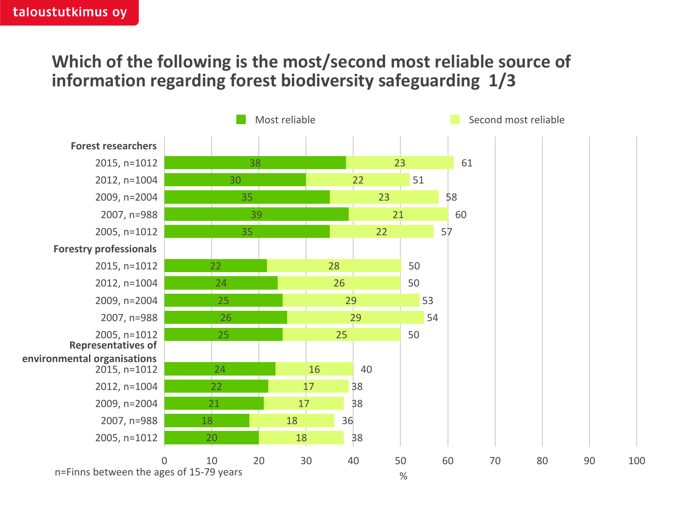## **Which of the following is the most/second most reliable source of information regarding forest biodiversity safeguarding 1/3**

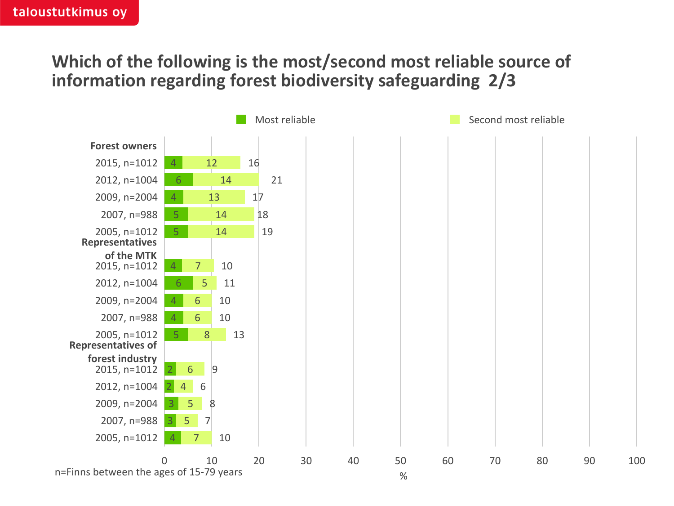## **Which of the following is the most/second most reliable source of information regarding forest biodiversity safeguarding 2/3**